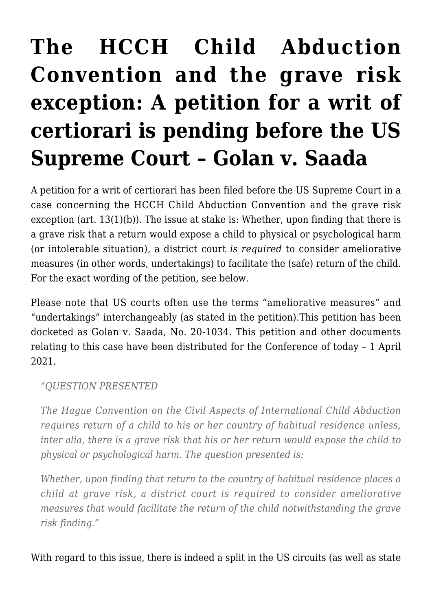## **[The HCCH Child Abduction](https://conflictoflaws.net/2021/the-hcch-child-abduction-convention-and-the-grave-risk-exception-a-petition-for-a-writ-of-certiorari-is-pending-before-the-us-supreme-court-golan-v-saada/) [Convention and the grave risk](https://conflictoflaws.net/2021/the-hcch-child-abduction-convention-and-the-grave-risk-exception-a-petition-for-a-writ-of-certiorari-is-pending-before-the-us-supreme-court-golan-v-saada/) [exception: A petition for a writ of](https://conflictoflaws.net/2021/the-hcch-child-abduction-convention-and-the-grave-risk-exception-a-petition-for-a-writ-of-certiorari-is-pending-before-the-us-supreme-court-golan-v-saada/) [certiorari is pending before the US](https://conflictoflaws.net/2021/the-hcch-child-abduction-convention-and-the-grave-risk-exception-a-petition-for-a-writ-of-certiorari-is-pending-before-the-us-supreme-court-golan-v-saada/) [Supreme Court – Golan v. Saada](https://conflictoflaws.net/2021/the-hcch-child-abduction-convention-and-the-grave-risk-exception-a-petition-for-a-writ-of-certiorari-is-pending-before-the-us-supreme-court-golan-v-saada/)**

A petition for a writ of certiorari has been filed before the US Supreme Court in a case concerning the HCCH Child Abduction Convention and the grave risk exception (art. 13(1)(b)). The issue at stake is: Whether, upon finding that there is a grave risk that a return would expose a child to physical or psychological harm (or intolerable situation), a district court *is required* to consider ameliorative measures (in other words, undertakings) to facilitate the (safe) return of the child. For the exact wording of the petition, see below.

Please note that US courts often use the terms "ameliorative measures" and "undertakings" interchangeably (as stated in the petition).This [petition](https://www.supremecourt.gov/DocketPDF/20/20-1034/167211/20210126115122376_Golan%20cert%20petition.pdf) has been docketed as [Golan v. Saada](https://www.supremecourt.gov/search.aspx?filename=/docket/DocketFiles/html/Public/20-1034.html), No. 20-1034. This petition and other documents relating to this case have been distributed for the [Conference](https://www.uscourts.gov/about-federal-courts/educational-resources/about-educational-outreach/activity-resources/supreme-1) of today – 1 April 2021.

*"QUESTION PRESENTED*

*The Hague Convention on the Civil Aspects of International Child Abduction requires return of a child to his or her country of habitual residence unless, inter alia, there is a grave risk that his or her return would expose the child to physical or psychological harm. The question presented is:*

*Whether, upon finding that return to the country of habitual residence places a child at grave risk, a district court is required to consider ameliorative measures that would facilitate the return of the child notwithstanding the grave risk finding."*

With regard to this issue, there is indeed a split in the US circuits (as well as state